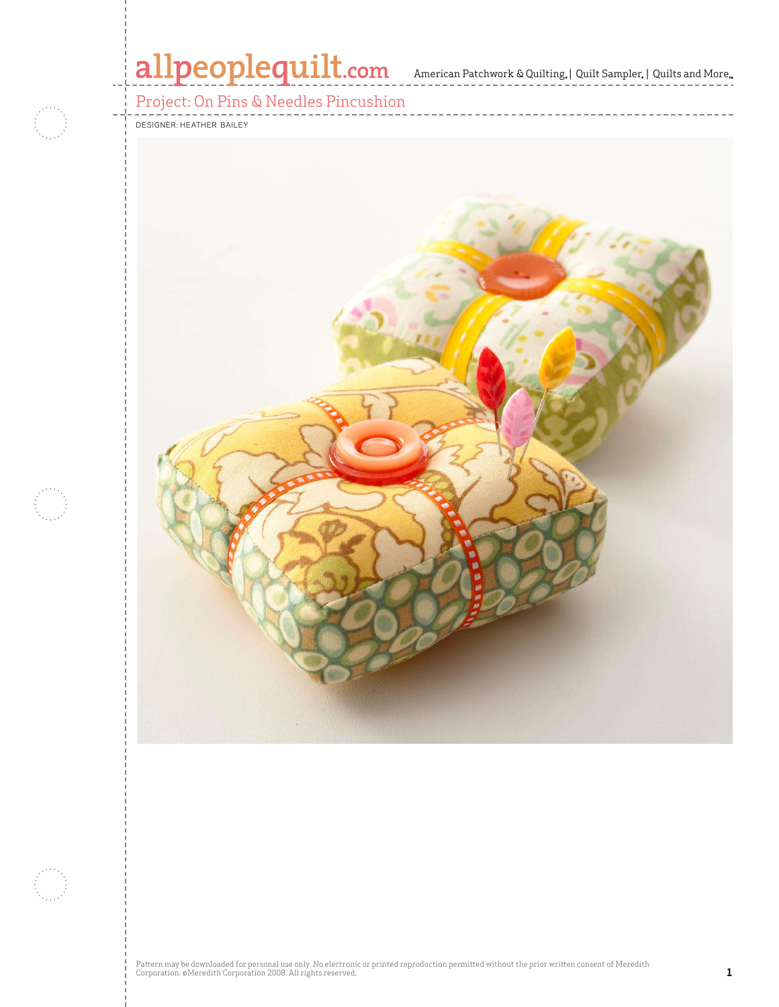# allpeoplequilt.com<br>american Patchwork & Quilting, | Quilt Sampler, | Quilts and More..

## Project: On Pins & Needles Pincushion



DESIGNER: heather bailey

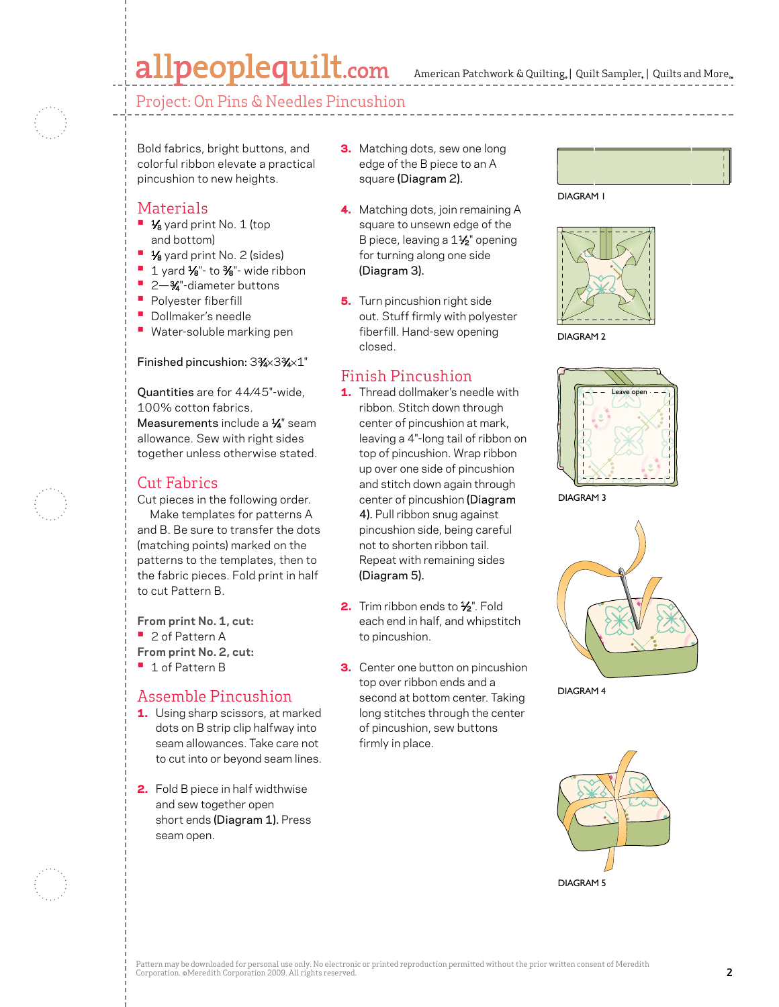# allpeoplequilt.com

American Patchwork & Quilting, | Quilt Sampler, | Quilts and More...

Project: On Pins & Needles Pincushion

Bold fabrics, bright buttons, and colorful ribbon elevate a practical pincushion to new heights.

### **Materials**

- **1/8** yard print No. 1 (top and bottom)
- **1/8** yard print No. 2 (sides)
- 1 yard 1/<sub>8</sub>"- to <sup>3</sup>%"- wide ribbon
- **•**  2—3⁄4"-diameter buttons
- **•**  Polyester fiberfill
- **•**  Dollmaker's needle
- **•** Water-soluble marking pen

#### Finished pincushion: 3%×3%×1"

Quantities are for 44⁄45"-wide, 100% cotton fabrics. Measurements include a 1/4" seam allowance. Sew with right sides together unless otherwise stated.

### Cut Fabrics

Cut pieces in the following order. Make templates for patterns A and B. Be sure to transfer the dots (matching points) marked on the patterns to the templates, then to the fabric pieces. Fold print in half to cut Pattern B.

**From print No. 1, cut: •**  2 of Pattern A

- **From print No. 2, cut:**
- **•**  1 of Pattern B

### Assemble Pincushion

- 1. Using sharp scissors, at marked dots on B strip clip halfway into seam allowances. Take care not to cut into or beyond seam lines.
- 2. Fold B piece in half widthwise and sew together open short ends (Diagram 1). Press seam open.
- **3.** Matching dots, sew one long edge of the B piece to an A square (Diagram 2).
- 4. Matching dots, join remaining A square to unsewn edge of the B piece, leaving a 1<sup>1/2</sup> opening for turning along one side (Diagram 3).
- **5.** Turn pincushion right side out. Stuff firmly with polyester fiberfill. Hand-sew opening closed.

## Finish Pincushion

- 1. Thread dollmaker's needle with ribbon. Stitch down through center of pincushion at mark, leaving a 4"-long tail of ribbon on top of pincushion. Wrap ribbon up over one side of pincushion and stitch down again through center of pincushion (Diagram 4). Pull ribbon snug against pincushion side, being careful not to shorten ribbon tail. Repeat with remaining sides (Diagram 5).
- 2. Trim ribbon ends to 1/2". Fold each end in half, and whipstitch to pincushion.
- **3.** Center one button on pincushion top over ribbon ends and a second at bottom center. Taking long stitches through the center of pincushion, sew buttons firmly in place.





DIAGRAM 2



DIAGRAM 3



DIAGRAM 4